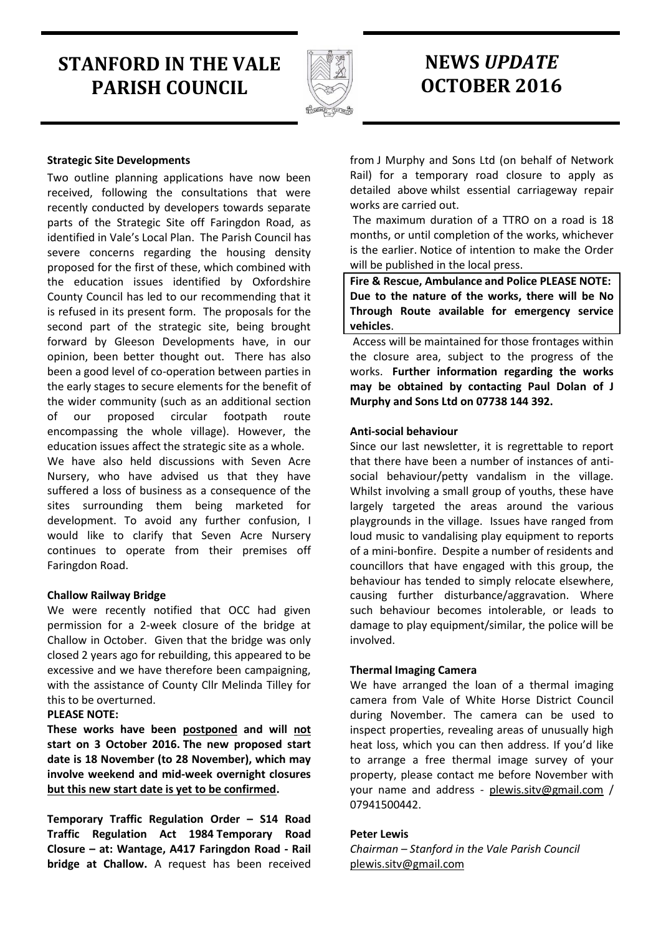# **STANFORD IN THE VALE PARISH COUNCIL**



# **NEWS** *UPDATE* **OCTOBER 2016**

## **Strategic Site Developments**

Two outline planning applications have now been received, following the consultations that were recently conducted by developers towards separate parts of the Strategic Site off Faringdon Road, as identified in Vale's Local Plan. The Parish Council has severe concerns regarding the housing density proposed for the first of these, which combined with the education issues identified by Oxfordshire County Council has led to our recommending that it is refused in its present form. The proposals for the second part of the strategic site, being brought forward by Gleeson Developments have, in our opinion, been better thought out. There has also been a good level of co-operation between parties in the early stages to secure elements for the benefit of the wider community (such as an additional section of our proposed circular footpath route encompassing the whole village). However, the education issues affect the strategic site as a whole. We have also held discussions with Seven Acre Nursery, who have advised us that they have suffered a loss of business as a consequence of the sites surrounding them being marketed for development. To avoid any further confusion, I would like to clarify that Seven Acre Nursery continues to operate from their premises off Faringdon Road.

## **Challow Railway Bridge**

We were recently notified that OCC had given permission for a 2-week closure of the bridge at Challow in October. Given that the bridge was only closed 2 years ago for rebuilding, this appeared to be excessive and we have therefore been campaigning, with the assistance of County Cllr Melinda Tilley for this to be overturned.

## **PLEASE NOTE:**

**These works have been postponed and will not start on 3 October 2016. The new proposed start date is 18 November (to 28 November), which may involve weekend and mid-week overnight closures but this new start date is yet to be confirmed.**

**Temporary Traffic Regulation Order – S14 Road Traffic Regulation Act 1984 Temporary Road Closure – at: Wantage, A417 Faringdon Road - Rail bridge at Challow.** A request has been received from J Murphy and Sons Ltd (on behalf of Network Rail) for a temporary road closure to apply as detailed above whilst essential carriageway repair works are carried out.

The maximum duration of a TTRO on a road is 18 months, or until completion of the works, whichever is the earlier. Notice of intention to make the Order will be published in the local press.

**Fire & Rescue, Ambulance and Police PLEASE NOTE: Due to the nature of the works, there will be No Through Route available for emergency service vehicles**.

Access will be maintained for those frontages within the closure area, subject to the progress of the works. **Further information regarding the works may be obtained by contacting Paul Dolan of J Murphy and Sons Ltd on 07738 144 392.**

#### **Anti-social behaviour**

Since our last newsletter, it is regrettable to report that there have been a number of instances of antisocial behaviour/petty vandalism in the village. Whilst involving a small group of youths, these have largely targeted the areas around the various playgrounds in the village. Issues have ranged from loud music to vandalising play equipment to reports of a mini-bonfire. Despite a number of residents and councillors that have engaged with this group, the behaviour has tended to simply relocate elsewhere, causing further disturbance/aggravation. Where such behaviour becomes intolerable, or leads to damage to play equipment/similar, the police will be involved.

## **Thermal Imaging Camera**

We have arranged the loan of a thermal imaging camera from Vale of White Horse District Council during November. The camera can be used to inspect properties, revealing areas of unusually high heat loss, which you can then address. If you'd like to arrange a free thermal image survey of your property, please contact me before November with your name and address - [plewis.sitv@gmail.com](mailto:plewis.sitv@gmail.com) / 07941500442.

#### **Peter Lewis**

*Chairman – Stanford in the Vale Parish Council* [plewis.sitv@gmail.com](mailto:plewis.sitv@gmail.com)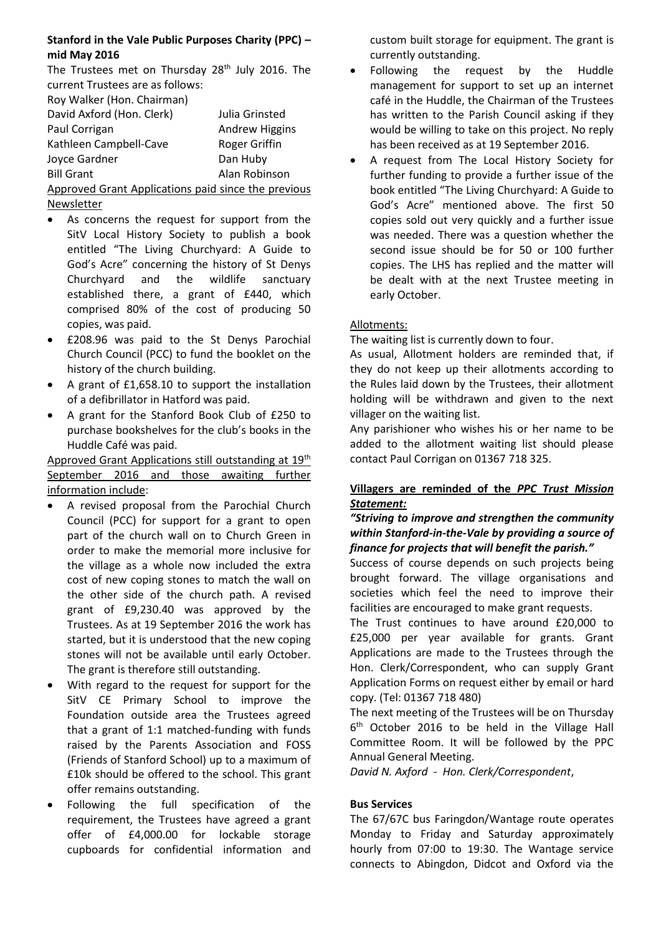## **Stanford in the Vale Public Purposes Charity (PPC) – mid May 2016**

The Trustees met on Thursday  $28<sup>th</sup>$  July 2016. The current Trustees are as follows:

| Roy Walker (Hon. Chairman)                          |                       |
|-----------------------------------------------------|-----------------------|
| David Axford (Hon. Clerk)                           | Julia Grinsted        |
| Paul Corrigan                                       | <b>Andrew Higgins</b> |
| Kathleen Campbell-Cave                              | Roger Griffin         |
| Joyce Gardner                                       | Dan Huby              |
| <b>Bill Grant</b>                                   | Alan Robinson         |
| Approved Grant Applications paid since the previous |                       |

Newsletter

- As concerns the request for support from the SitV Local History Society to publish a book entitled "The Living Churchyard: A Guide to God's Acre" concerning the history of St Denys Churchyard and the wildlife sanctuary established there, a grant of £440, which comprised 80% of the cost of producing 50 copies, was paid.
- £208.96 was paid to the St Denys Parochial Church Council (PCC) to fund the booklet on the history of the church building.
- A grant of £1,658.10 to support the installation of a defibrillator in Hatford was paid.
- A grant for the Stanford Book Club of £250 to purchase bookshelves for the club's books in the Huddle Café was paid.

Approved Grant Applications still outstanding at 19<sup>th</sup> September 2016 and those awaiting further information include:

- A revised proposal from the Parochial Church Council (PCC) for support for a grant to open part of the church wall on to Church Green in order to make the memorial more inclusive for the village as a whole now included the extra cost of new coping stones to match the wall on the other side of the church path. A revised grant of £9,230.40 was approved by the Trustees. As at 19 September 2016 the work has started, but it is understood that the new coping stones will not be available until early October. The grant is therefore still outstanding.
- With regard to the request for support for the SitV CE Primary School to improve the Foundation outside area the Trustees agreed that a grant of 1:1 matched-funding with funds raised by the Parents Association and FOSS (Friends of Stanford School) up to a maximum of £10k should be offered to the school. This grant offer remains outstanding.
- Following the full specification of the requirement, the Trustees have agreed a grant offer of £4,000.00 for lockable storage cupboards for confidential information and

custom built storage for equipment. The grant is currently outstanding.

- Following the request by the Huddle management for support to set up an internet café in the Huddle, the Chairman of the Trustees has written to the Parish Council asking if they would be willing to take on this project. No reply has been received as at 19 September 2016.
- A request from The Local History Society for further funding to provide a further issue of the book entitled "The Living Churchyard: A Guide to God's Acre" mentioned above. The first 50 copies sold out very quickly and a further issue was needed. There was a question whether the second issue should be for 50 or 100 further copies. The LHS has replied and the matter will be dealt with at the next Trustee meeting in early October.

# Allotments:

The waiting list is currently down to four.

As usual, Allotment holders are reminded that, if they do not keep up their allotments according to the Rules laid down by the Trustees, their allotment holding will be withdrawn and given to the next villager on the waiting list.

Any parishioner who wishes his or her name to be added to the allotment waiting list should please contact Paul Corrigan on 01367 718 325.

# **Villagers are reminded of the** *PPC Trust Mission Statement:*

## *"Striving to improve and strengthen the community within Stanford-in-the-Vale by providing a source of finance for projects that will benefit the parish."*

Success of course depends on such projects being brought forward. The village organisations and societies which feel the need to improve their facilities are encouraged to make grant requests.

The Trust continues to have around £20,000 to £25,000 per year available for grants. Grant Applications are made to the Trustees through the Hon. Clerk/Correspondent, who can supply Grant Application Forms on request either by email or hard copy. (Tel: 01367 718 480)

The next meeting of the Trustees will be on Thursday 6 th October 2016 to be held in the Village Hall Committee Room. It will be followed by the PPC Annual General Meeting.

*David N. Axford - Hon. Clerk/Correspondent*,

# **Bus Services**

The 67/67C bus Faringdon/Wantage route operates Monday to Friday and Saturday approximately hourly from 07:00 to 19:30. The Wantage service connects to Abingdon, Didcot and Oxford via the